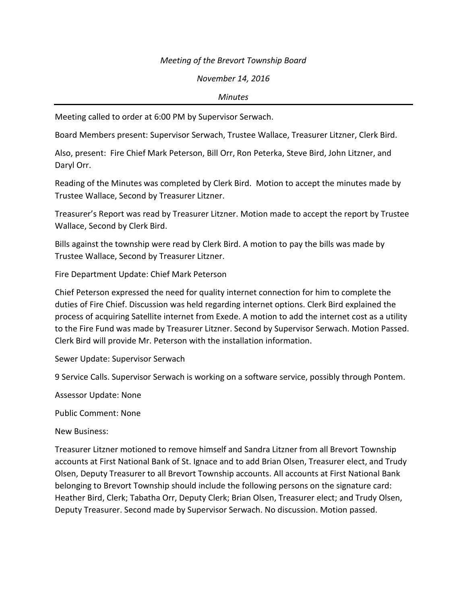## *Meeting of the Brevort Township Board*

## *November 14, 2016*

## *Minutes*

Meeting called to order at 6:00 PM by Supervisor Serwach.

Board Members present: Supervisor Serwach, Trustee Wallace, Treasurer Litzner, Clerk Bird.

Also, present: Fire Chief Mark Peterson, Bill Orr, Ron Peterka, Steve Bird, John Litzner, and Daryl Orr.

Reading of the Minutes was completed by Clerk Bird. Motion to accept the minutes made by Trustee Wallace, Second by Treasurer Litzner.

Treasurer's Report was read by Treasurer Litzner. Motion made to accept the report by Trustee Wallace, Second by Clerk Bird.

Bills against the township were read by Clerk Bird. A motion to pay the bills was made by Trustee Wallace, Second by Treasurer Litzner.

Fire Department Update: Chief Mark Peterson

Chief Peterson expressed the need for quality internet connection for him to complete the duties of Fire Chief. Discussion was held regarding internet options. Clerk Bird explained the process of acquiring Satellite internet from Exede. A motion to add the internet cost as a utility to the Fire Fund was made by Treasurer Litzner. Second by Supervisor Serwach. Motion Passed. Clerk Bird will provide Mr. Peterson with the installation information.

Sewer Update: Supervisor Serwach

9 Service Calls. Supervisor Serwach is working on a software service, possibly through Pontem.

Assessor Update: None

Public Comment: None

New Business:

Treasurer Litzner motioned to remove himself and Sandra Litzner from all Brevort Township accounts at First National Bank of St. Ignace and to add Brian Olsen, Treasurer elect, and Trudy Olsen, Deputy Treasurer to all Brevort Township accounts. All accounts at First National Bank belonging to Brevort Township should include the following persons on the signature card: Heather Bird, Clerk; Tabatha Orr, Deputy Clerk; Brian Olsen, Treasurer elect; and Trudy Olsen, Deputy Treasurer. Second made by Supervisor Serwach. No discussion. Motion passed.